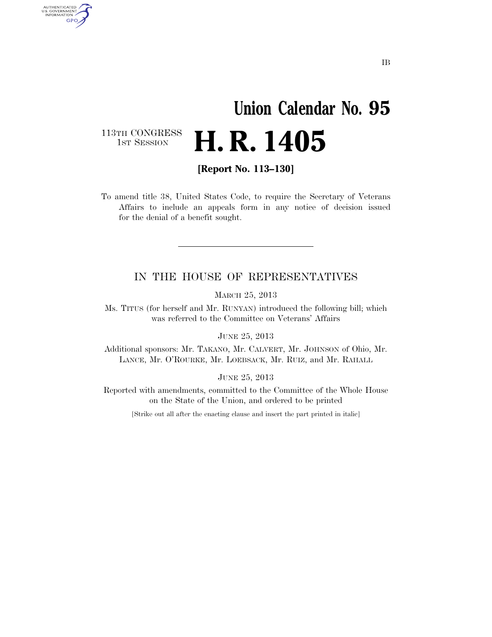# **Union Calendar No. 95**  H. R. 1405

113TH CONGRESS<br>1st Session

AUTHENTICATED<br>U.S. GOVERNMENT<br>INFORMATION GPO

**[Report No. 113–130]** 

To amend title 38, United States Code, to require the Secretary of Veterans Affairs to include an appeals form in any notice of decision issued for the denial of a benefit sought.

#### IN THE HOUSE OF REPRESENTATIVES

MARCH 25, 2013

Ms. TITUS (for herself and Mr. RUNYAN) introduced the following bill; which was referred to the Committee on Veterans' Affairs

JUNE 25, 2013

Additional sponsors: Mr. TAKANO, Mr. CALVERT, Mr. JOHNSON of Ohio, Mr. LANCE, Mr. O'ROURKE, Mr. LOEBSACK, Mr. RUIZ, and Mr. RAHALL

JUNE 25, 2013

Reported with amendments, committed to the Committee of the Whole House on the State of the Union, and ordered to be printed

[Strike out all after the enacting clause and insert the part printed in italic]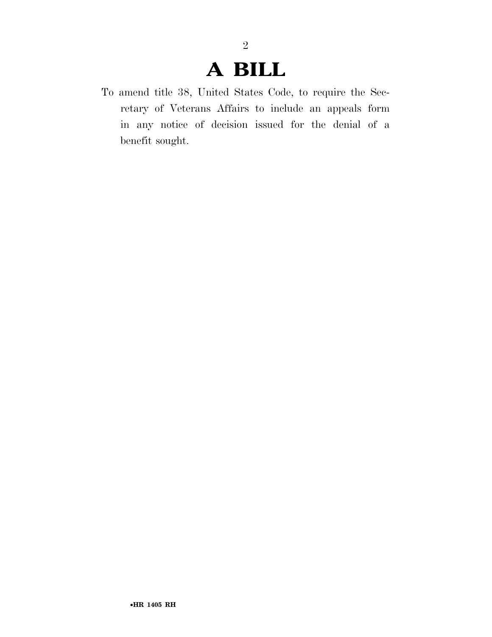## **A BILL**

2

To amend title 38, United States Code, to require the Secretary of Veterans Affairs to include an appeals form in any notice of decision issued for the denial of a benefit sought.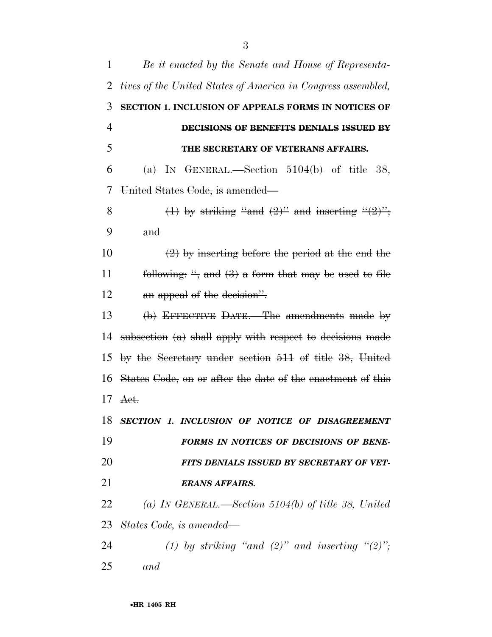| 1              | Be it enacted by the Senate and House of Representa-         |
|----------------|--------------------------------------------------------------|
| 2              | tives of the United States of America in Congress assembled, |
| 3              | SECTION 1. INCLUSION OF APPEALS FORMS IN NOTICES OF          |
| $\overline{4}$ | DECISIONS OF BENEFITS DENIALS ISSUED BY                      |
| 5              | THE SECRETARY OF VETERANS AFFAIRS.                           |
| 6              | (a) IN GENERAL.—Section $5104(b)$ of title $38$ ,            |
| 7              | United States Code, is amended—                              |
| 8              | (1) by striking "and $(2)$ " and inserting " $(2)$ ";        |
| 9              | and                                                          |
| 10             | $(2)$ by inserting before the period at the end the          |
| 11             | following: ", and $(3)$ a form that may be used to file      |
| 12             | an appeal of the decision".                                  |
| 13             | (b) EFFECTIVE DATE.—The amendments made by                   |
| 14             | subsection $(a)$ shall apply with respect to decisions made  |
| 15             | by the Secretary under section 511 of title 38, United       |
| 16             | States Gode, on or after the date of the enactment of this   |
| 17             | Act.                                                         |
|                | 18 SECTION 1. INCLUSION OF NOTICE OF DISAGREEMENT            |
| 19             | FORMS IN NOTICES OF DECISIONS OF BENE-                       |
| 20             | FITS DENIALS ISSUED BY SECRETARY OF VET-                     |
| 21             | <b>ERANS AFFAIRS.</b>                                        |
| 22             | (a) IN GENERAL.—Section 5104(b) of title 38, United          |
|                | 23 States Code, is amended—                                  |
| 24             | (1) by striking "and (2)" and inserting " $(2)$ ";           |
| 25             | and                                                          |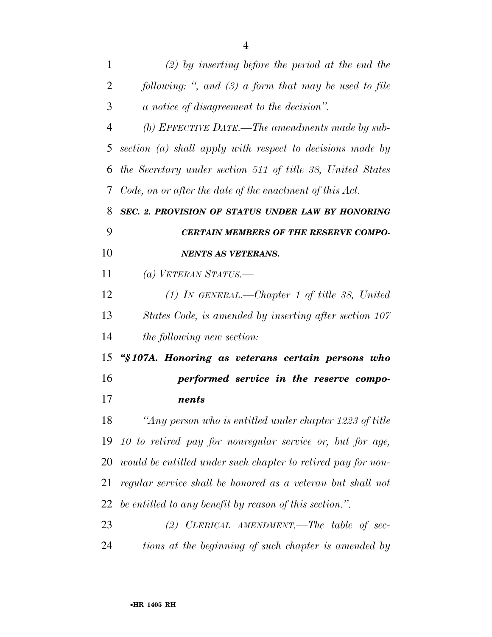| $\mathbf{1}$   | $(2)$ by inserting before the period at the end the          |
|----------------|--------------------------------------------------------------|
| 2              | following: ", and $(3)$ a form that may be used to file      |
| 3              | a notice of disagreement to the decision".                   |
| $\overline{4}$ | (b) EFFECTIVE DATE.—The amendments made by sub-              |
| 5              | section (a) shall apply with respect to decisions made by    |
| 6              | the Secretary under section 511 of title 38, United States   |
| 7              | Code, on or after the date of the enactment of this Act.     |
| 8              | SEC. 2. PROVISION OF STATUS UNDER LAW BY HONORING            |
| 9              | <b>CERTAIN MEMBERS OF THE RESERVE COMPO-</b>                 |
| 10             | <b>NENTS AS VETERANS.</b>                                    |
| 11             | (a) VETERAN STATUS.—                                         |
| 12             | $(1)$ IN GENERAL.—Chapter 1 of title 38, United              |
| 13             | States Code, is amended by inserting after section 107       |
| 14             | the following new section:                                   |
| 15             | "§107A. Honoring as veterans certain persons who             |
| 16             | performed service in the reserve compo-                      |
| 17             | nents                                                        |
| 18             | "Any person who is entitled under chapter 1223 of title      |
| 19             | 10 to retired pay for nonregular service or, but for age,    |
| 20             | would be entitled under such chapter to retired pay for non- |
| 21             | regular service shall be honored as a veteran but shall not  |
| 22             | be entitled to any benefit by reason of this section.".      |
| 23             | $(2)$ CLERICAL AMENDMENT.—The table of sec-                  |
| 24             | tions at the beginning of such chapter is amended by         |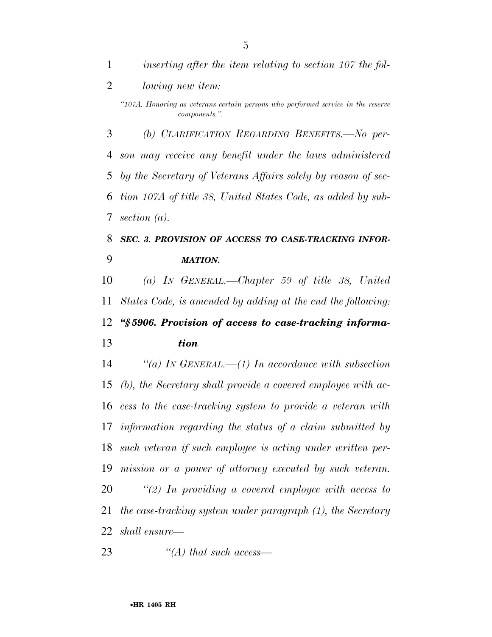*inserting after the item relating to section 107 the fol-*

*lowing new item:* 

 *(b) CLARIFICATION REGARDING BENEFITS.—No per- son may receive any benefit under the laws administered by the Secretary of Veterans Affairs solely by reason of sec- tion 107A of title 38, United States Code, as added by sub-section (a).* 

 *SEC. 3. PROVISION OF ACCESS TO CASE-TRACKING INFOR-MATION.* 

 *(a) IN GENERAL.—Chapter 59 of title 38, United States Code, is amended by adding at the end the following: ''§ 5906. Provision of access to case-tracking informa-*

*tion* 

 *''(a) IN GENERAL.—(1) In accordance with subsection (b), the Secretary shall provide a covered employee with ac- cess to the case-tracking system to provide a veteran with information regarding the status of a claim submitted by such veteran if such employee is acting under written per- mission or a power of attorney executed by such veteran. ''(2) In providing a covered employee with access to the case-tracking system under paragraph (1), the Secretary shall ensure—* 

*''(A) that such access—* 

*<sup>&#</sup>x27;'107A. Honoring as veterans certain persons who performed service in the reserve components.''.*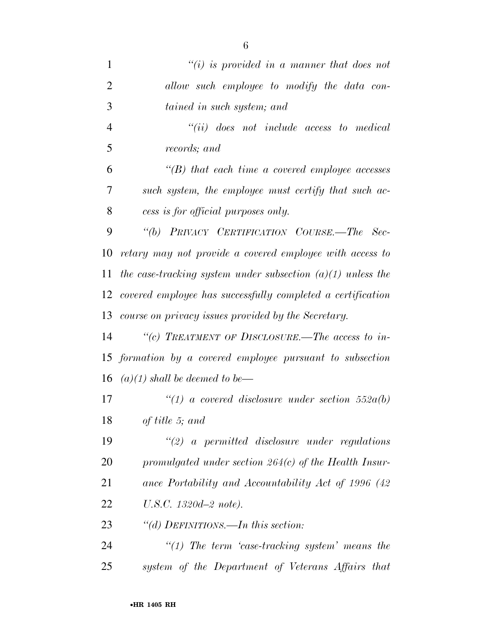| $\mathbf{1}$   | $``(i)$ is provided in a manner that does not                 |
|----------------|---------------------------------------------------------------|
| $\overline{2}$ | allow such employee to modify the data con-                   |
| 3              | tained in such system; and                                    |
| 4              | $``(ii)$ does not include access to medical                   |
| 5              | records; and                                                  |
| 6              | $\lq$ (B) that each time a covered employee accesses          |
| 7              | such system, the employee must certify that such ac-          |
| 8              | cess is for official purposes only.                           |
| 9              | "(b) PRIVACY CERTIFICATION COURSE.—The Sec-                   |
| 10             | retary may not provide a covered employee with access to      |
| 11             | the case-tracking system under subsection $(a)(1)$ unless the |
| 12             | covered employee has successfully completed a certification   |
| 13             | course on privacy issues provided by the Secretary.           |
| 14             | "(c) TREATMENT OF DISCLOSURE.—The access to in-               |
|                | 15 formation by a covered employee pursuant to subsection     |
| 16             | $(a)(1)$ shall be deemed to be—                               |
| 17             | "(1) a covered disclosure under section $552a(b)$             |
| 18             | of title 5; and                                               |
| 19             | $\lq(2)$ a permitted disclosure under regulations             |
| 20             | promulgated under section $264(c)$ of the Health Insur-       |
| 21             | ance Portability and Accountability Act of 1996 (42)          |
| 22             | $U.S.C. 1320d - 2 note.$                                      |
| 23             | "(d) DEFINITIONS.—In this section:                            |
| 24             | $\lq(1)$ The term 'case-tracking system' means the            |
| 25             | system of the Department of Veterans Affairs that             |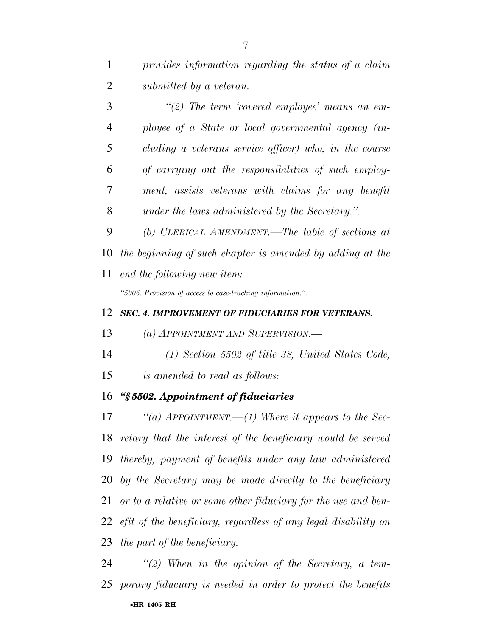|   | $\lq(2)$ The term 'covered employee' means an em-      |
|---|--------------------------------------------------------|
| 4 | ployee of a State or local governmental agency (in-    |
| 5 | cluding a veterans service officer) who, in the course |
| 6 | of carrying out the responsibilities of such employ-   |
| 7 | ment, assists veterans with claims for any benefit     |
| 8 | under the laws administered by the Secretary.".        |

 *(b) CLERICAL AMENDMENT.—The table of sections at the beginning of such chapter is amended by adding at the end the following new item:* 

*''5906. Provision of access to case-tracking information.''.* 

#### *SEC. 4. IMPROVEMENT OF FIDUCIARIES FOR VETERANS.*

*(a) APPOINTMENT AND SUPERVISION.—* 

*(1) Section 5502 of title 38, United States Code,* 

*is amended to read as follows:* 

#### *''§ 5502. Appointment of fiduciaries*

 *''(a) APPOINTMENT.—(1) Where it appears to the Sec- retary that the interest of the beneficiary would be served thereby, payment of benefits under any law administered by the Secretary may be made directly to the beneficiary or to a relative or some other fiduciary for the use and ben- efit of the beneficiary, regardless of any legal disability on the part of the beneficiary.* 

•**HR 1405 RH** *''(2) When in the opinion of the Secretary, a tem-porary fiduciary is needed in order to protect the benefits*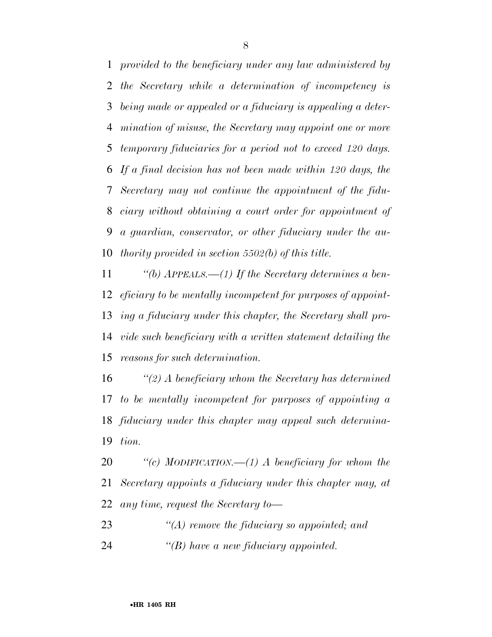*provided to the beneficiary under any law administered by the Secretary while a determination of incompetency is being made or appealed or a fiduciary is appealing a deter- mination of misuse, the Secretary may appoint one or more temporary fiduciaries for a period not to exceed 120 days. If a final decision has not been made within 120 days, the Secretary may not continue the appointment of the fidu- ciary without obtaining a court order for appointment of a guardian, conservator, or other fiduciary under the au-thority provided in section 5502(b) of this title.* 

 *''(b) APPEALS.—(1) If the Secretary determines a ben- eficiary to be mentally incompetent for purposes of appoint- ing a fiduciary under this chapter, the Secretary shall pro- vide such beneficiary with a written statement detailing the reasons for such determination.* 

 *''(2) A beneficiary whom the Secretary has determined to be mentally incompetent for purposes of appointing a fiduciary under this chapter may appeal such determina-tion.* 

 *''(c) MODIFICATION.—(1) A beneficiary for whom the Secretary appoints a fiduciary under this chapter may, at any time, request the Secretary to—* 

*''(A) remove the fiduciary so appointed; and* 

*''(B) have a new fiduciary appointed.*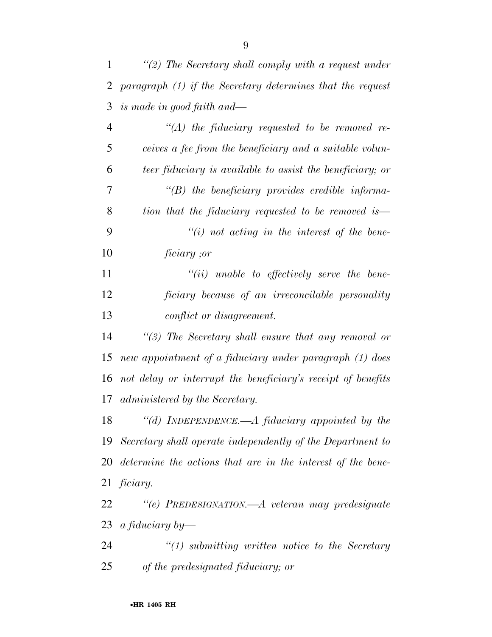| 1              | "(2) The Secretary shall comply with a request under           |
|----------------|----------------------------------------------------------------|
| $\overline{2}$ | paragraph $(1)$ if the Secretary determines that the request   |
| 3              | is made in good faith and—                                     |
| $\overline{4}$ | $\lq (A)$ the fiduciary requested to be removed re-            |
| 5              | ceives a fee from the beneficiary and a suitable volun-        |
| 6              | teer fiduciary is available to assist the beneficiary; or      |
| 7              | $\lq\lq(B)$ the beneficiary provides credible informa-         |
| 8              | tion that the fiduciary requested to be removed is—            |
| 9              | $\lq\lq(i)$ not acting in the interest of the bene-            |
| 10             | <i>ficiary</i> ;or                                             |
| 11             | $``(ii)$ unable to effectively serve the bene-                 |
| 12             | ficiary because of an irreconcilable personality               |
| 13             | conflict or disagreement.                                      |
| 14             | "(3) The Secretary shall ensure that any removal or            |
| 15             | new appointment of a fiduciary under paragraph (1) does        |
| 16             | not delay or interrupt the beneficiary's receipt of benefits   |
| 17             | administered by the Secretary.                                 |
| 18             | "(d) INDEPENDENCE.—A fiduciary appointed by the                |
|                | 19 Secretary shall operate independently of the Department to  |
|                | 20 determine the actions that are in the interest of the bene- |
|                | $21$ ficiary.                                                  |
| 22             | "(e) PREDESIGNATION.—A veteran may predesignate                |
| 23             | a fiduciary by—                                                |
| 24             | $\lq(1)$ submitting written notice to the Secretary            |
| 25             | of the predesignated fiduciary; or                             |
|                |                                                                |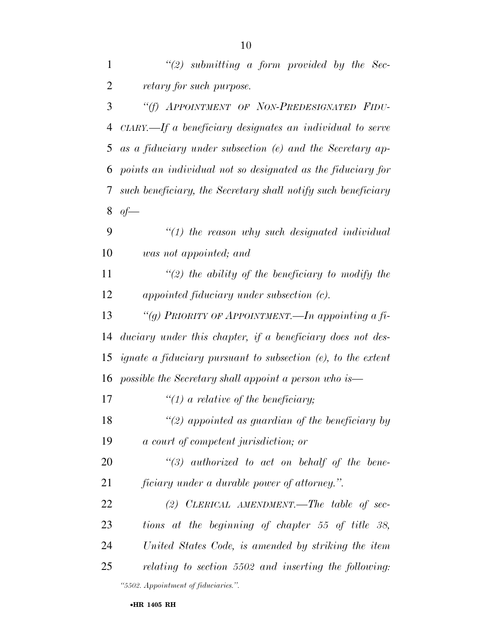| $\mathbf{1}$   | $\lq(2)$ submitting a form provided by the Sec-                                  |
|----------------|----------------------------------------------------------------------------------|
| $\overline{2}$ | retary for such purpose.                                                         |
| 3              | "(f) APPOINTMENT OF NON-PREDESIGNATED FIDU-                                      |
| $\overline{4}$ | $CIARY$ . If a beneficiary designates an individual to serve                     |
| 5              | as a fiduciary under subsection (e) and the Secretary ap-                        |
| 6              | points an individual not so designated as the fiduciary for                      |
| 7              | such beneficiary, the Secretary shall notify such beneficiary                    |
| 8              | of                                                                               |
| 9              | $"(1)$ the reason why such designated individual                                 |
| 10             | was not appointed; and                                                           |
| 11             | $\lq(2)$ the ability of the beneficiary to modify the                            |
| 12             | appointed fiduciary under subsection (c).                                        |
| 13             | "(g) PRIORITY OF APPOINTMENT.—In appointing a fi-                                |
| 14             | duciary under this chapter, if a beneficiary does not des-                       |
| 15             | <i>ignate a fiduciary pursuant to subsection <math>(e)</math>, to the extent</i> |
| 16             | possible the Secretary shall appoint a person who is—                            |
| 17             | $\lq(1)$ a relative of the beneficiary;                                          |
| 18             | $\lq(2)$ appointed as guardian of the beneficiary by                             |
| 19             | a court of competent jurisdiction; or                                            |
| 20             | $\lq(3)$ authorized to act on behalf of the bene-                                |
| 21             | <i>ficiary</i> under a durable power of attorney.".                              |
| 22             | (2) CLERICAL AMENDMENT.—The table of sec-                                        |
| 23             | tions at the beginning of chapter 55 of title 38,                                |
| 24             | United States Code, is amended by striking the item                              |
| 25             | relating to section 5502 and inserting the following:                            |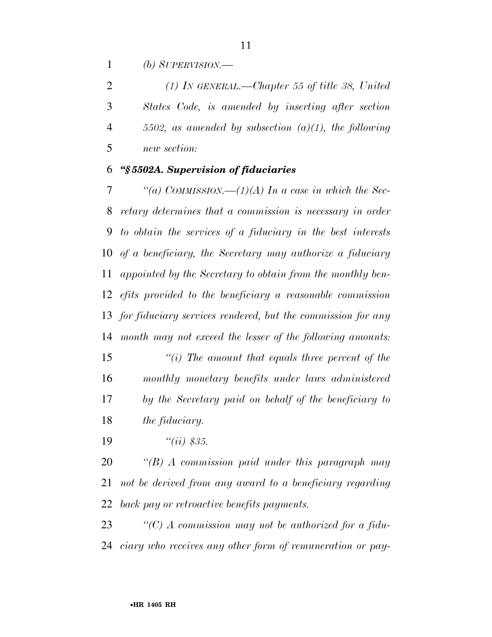*(b) SUPERVISION.—* 

 *(1) IN GENERAL.—Chapter 55 of title 38, United States Code, is amended by inserting after section 5502, as amended by subsection (a)(1), the following new section:* 

#### *''§ 5502A. Supervision of fiduciaries*

 *''(a) COMMISSION.—(1)(A) In a case in which the Sec- retary determines that a commission is necessary in order to obtain the services of a fiduciary in the best interests of a beneficiary, the Secretary may authorize a fiduciary appointed by the Secretary to obtain from the monthly ben- efits provided to the beneficiary a reasonable commission for fiduciary services rendered, but the commission for any month may not exceed the lesser of the following amounts:* 

 *''(i) The amount that equals three percent of the monthly monetary benefits under laws administered by the Secretary paid on behalf of the beneficiary to the fiduciary.* 

*''(ii) \$35.* 

 *''(B) A commission paid under this paragraph may not be derived from any award to a beneficiary regarding back pay or retroactive benefits payments.* 

 *''(C) A commission may not be authorized for a fidu-ciary who receives any other form of remuneration or pay-*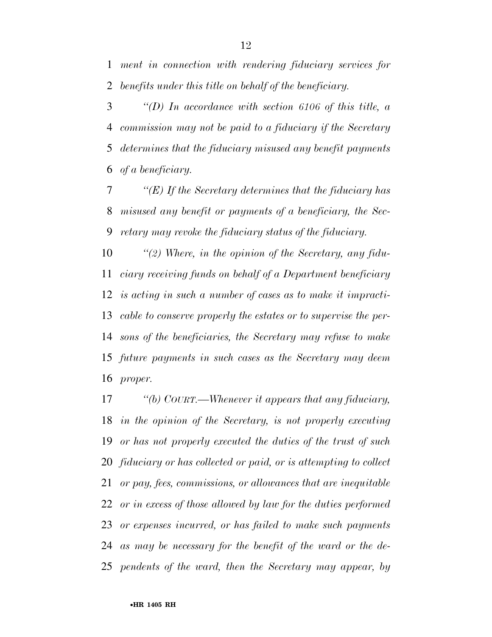*ment in connection with rendering fiduciary services for benefits under this title on behalf of the beneficiary.* 

 *''(D) In accordance with section 6106 of this title, a commission may not be paid to a fiduciary if the Secretary determines that the fiduciary misused any benefit payments of a beneficiary.* 

 *''(E) If the Secretary determines that the fiduciary has misused any benefit or payments of a beneficiary, the Sec-retary may revoke the fiduciary status of the fiduciary.* 

 *''(2) Where, in the opinion of the Secretary, any fidu- ciary receiving funds on behalf of a Department beneficiary is acting in such a number of cases as to make it impracti- cable to conserve properly the estates or to supervise the per- sons of the beneficiaries, the Secretary may refuse to make future payments in such cases as the Secretary may deem proper.* 

 *''(b) COURT.—Whenever it appears that any fiduciary, in the opinion of the Secretary, is not properly executing or has not properly executed the duties of the trust of such fiduciary or has collected or paid, or is attempting to collect or pay, fees, commissions, or allowances that are inequitable or in excess of those allowed by law for the duties performed or expenses incurred, or has failed to make such payments as may be necessary for the benefit of the ward or the de-pendents of the ward, then the Secretary may appear, by*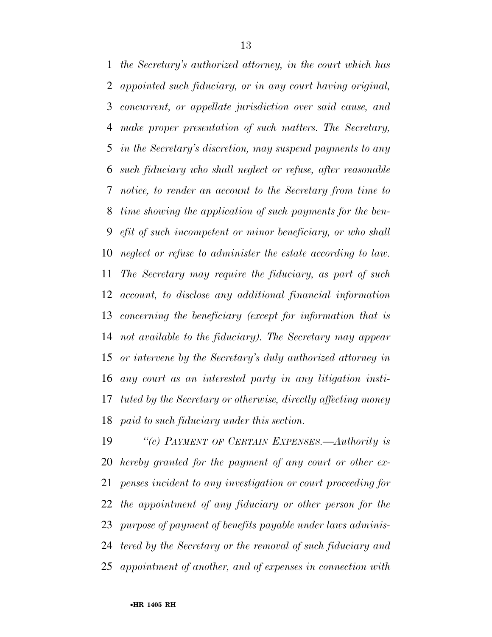*the Secretary's authorized attorney, in the court which has appointed such fiduciary, or in any court having original, concurrent, or appellate jurisdiction over said cause, and make proper presentation of such matters. The Secretary, in the Secretary's discretion, may suspend payments to any such fiduciary who shall neglect or refuse, after reasonable notice, to render an account to the Secretary from time to time showing the application of such payments for the ben- efit of such incompetent or minor beneficiary, or who shall neglect or refuse to administer the estate according to law. The Secretary may require the fiduciary, as part of such account, to disclose any additional financial information concerning the beneficiary (except for information that is not available to the fiduciary). The Secretary may appear or intervene by the Secretary's duly authorized attorney in any court as an interested party in any litigation insti- tuted by the Secretary or otherwise, directly affecting money paid to such fiduciary under this section.* 

 *''(c) PAYMENT OF CERTAIN EXPENSES.—Authority is hereby granted for the payment of any court or other ex- penses incident to any investigation or court proceeding for the appointment of any fiduciary or other person for the purpose of payment of benefits payable under laws adminis- tered by the Secretary or the removal of such fiduciary and appointment of another, and of expenses in connection with*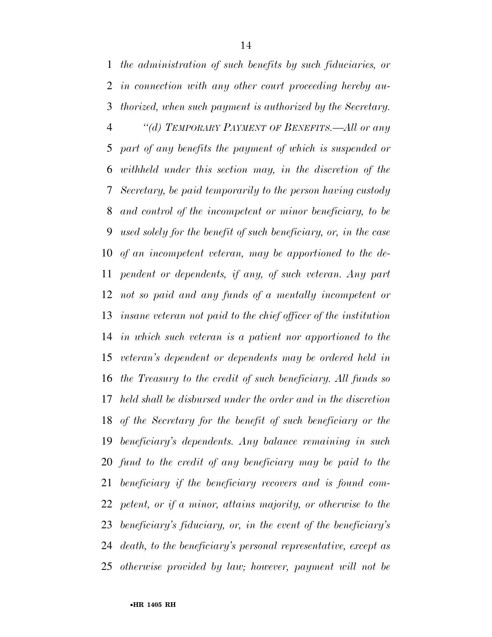*the administration of such benefits by such fiduciaries, or in connection with any other court proceeding hereby au- thorized, when such payment is authorized by the Secretary. ''(d) TEMPORARY PAYMENT OF BENEFITS.—All or any part of any benefits the payment of which is suspended or withheld under this section may, in the discretion of the Secretary, be paid temporarily to the person having custody and control of the incompetent or minor beneficiary, to be used solely for the benefit of such beneficiary, or, in the case of an incompetent veteran, may be apportioned to the de- pendent or dependents, if any, of such veteran. Any part not so paid and any funds of a mentally incompetent or insane veteran not paid to the chief officer of the institution in which such veteran is a patient nor apportioned to the veteran's dependent or dependents may be ordered held in the Treasury to the credit of such beneficiary. All funds so held shall be disbursed under the order and in the discretion of the Secretary for the benefit of such beneficiary or the beneficiary's dependents. Any balance remaining in such fund to the credit of any beneficiary may be paid to the beneficiary if the beneficiary recovers and is found com- petent, or if a minor, attains majority, or otherwise to the beneficiary's fiduciary, or, in the event of the beneficiary's death, to the beneficiary's personal representative, except as otherwise provided by law; however, payment will not be*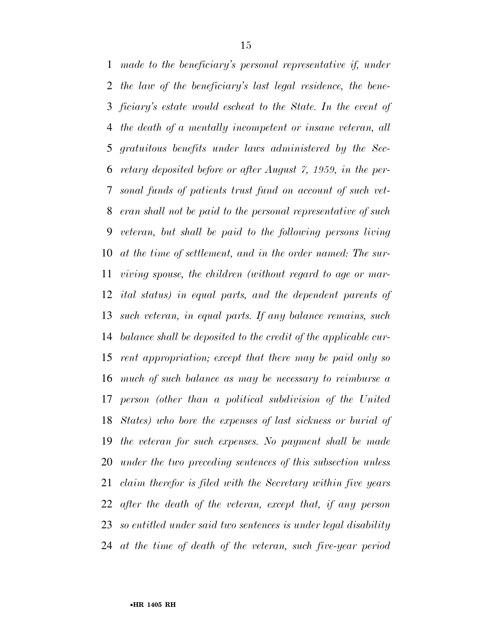*made to the beneficiary's personal representative if, under the law of the beneficiary's last legal residence, the bene- ficiary's estate would escheat to the State. In the event of the death of a mentally incompetent or insane veteran, all gratuitous benefits under laws administered by the Sec- retary deposited before or after August 7, 1959, in the per- sonal funds of patients trust fund on account of such vet- eran shall not be paid to the personal representative of such veteran, but shall be paid to the following persons living at the time of settlement, and in the order named: The sur- viving spouse, the children (without regard to age or mar- ital status) in equal parts, and the dependent parents of such veteran, in equal parts. If any balance remains, such balance shall be deposited to the credit of the applicable cur- rent appropriation; except that there may be paid only so much of such balance as may be necessary to reimburse a person (other than a political subdivision of the United States) who bore the expenses of last sickness or burial of the veteran for such expenses. No payment shall be made under the two preceding sentences of this subsection unless claim therefor is filed with the Secretary within five years after the death of the veteran, except that, if any person so entitled under said two sentences is under legal disability at the time of death of the veteran, such five-year period*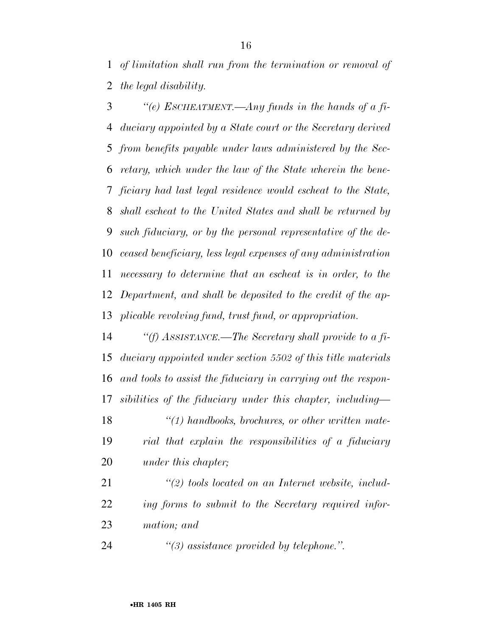*of limitation shall run from the termination or removal of the legal disability.* 

 *''(e) ESCHEATMENT.—Any funds in the hands of a fi- duciary appointed by a State court or the Secretary derived from benefits payable under laws administered by the Sec- retary, which under the law of the State wherein the bene- ficiary had last legal residence would escheat to the State, shall escheat to the United States and shall be returned by such fiduciary, or by the personal representative of the de- ceased beneficiary, less legal expenses of any administration necessary to determine that an escheat is in order, to the Department, and shall be deposited to the credit of the ap-plicable revolving fund, trust fund, or appropriation.* 

 *''(f) ASSISTANCE.—The Secretary shall provide to a fi- duciary appointed under section 5502 of this title materials and tools to assist the fiduciary in carrying out the respon-sibilities of the fiduciary under this chapter, including—* 

 *''(1) handbooks, brochures, or other written mate- rial that explain the responsibilities of a fiduciary under this chapter;* 

 *''(2) tools located on an Internet website, includ- ing forms to submit to the Secretary required infor-mation; and* 

*''(3) assistance provided by telephone.''.*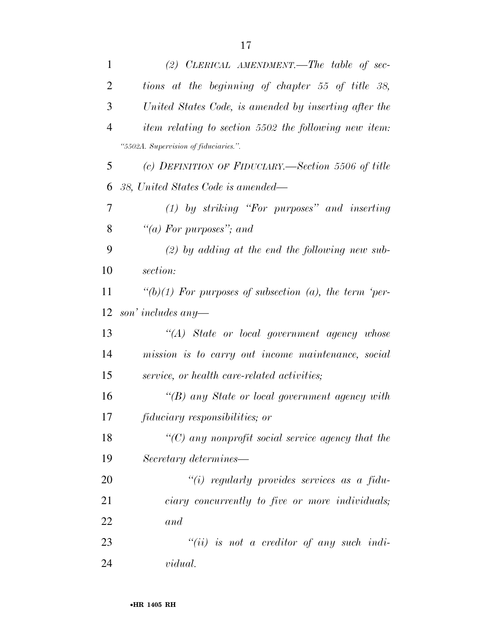| $\mathbf{1}$   | (2) CLERICAL AMENDMENT.—The table of sec-                 |
|----------------|-----------------------------------------------------------|
| $\overline{2}$ | tions at the beginning of chapter 55 of title 38,         |
| 3              | United States Code, is amended by inserting after the     |
| $\overline{4}$ | item relating to section 5502 the following new item:     |
|                | "5502A. Supervision of fiduciaries.".                     |
| 5              | (c) DEFINITION OF FIDUCIARY.—Section 5506 of title        |
| 6              | 38, United States Code is amended—                        |
| 7              | $(1)$ by striking "For purposes" and inserting            |
| 8              | "(a) For purposes"; and                                   |
| 9              | $(2)$ by adding at the end the following new sub-         |
| 10             | section:                                                  |
| 11             | " $(b)(1)$ For purposes of subsection (a), the term 'per- |
| 12             | son' includes any-                                        |
| 13             | $\lq\lq (A)$ State or local government agency whose       |
| 14             | mission is to carry out income maintenance, social        |
| 15             | service, or health care-related activities;               |
| 16             | "(B) any State or local government agency with            |
| 17             | <i>fiduciary responsibilities; or</i>                     |
| 18             | $\lq\lq C$ any nonprofit social service agency that the   |
| 19             | Secretary determines—                                     |
| 20             | "(i) regularly provides services as a fidu-               |
| 21             | ciary concurrently to five or more individuals;           |
| 22             | and                                                       |
| 23             | $``(ii)$ is not a creditor of any such indi-              |
| 24             | <i>vidual.</i>                                            |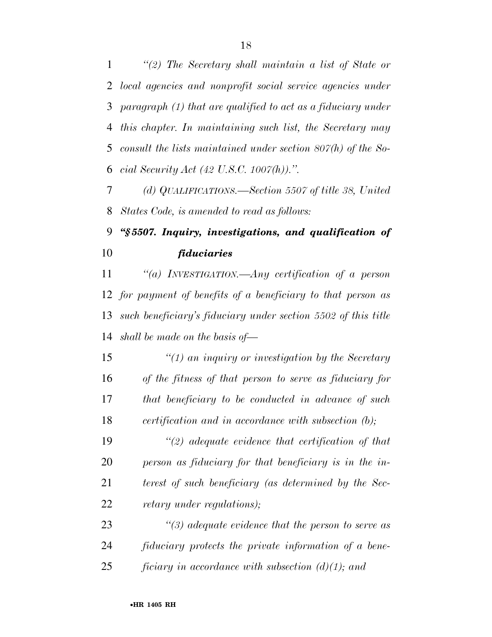*''(2) The Secretary shall maintain a list of State or local agencies and nonprofit social service agencies under paragraph (1) that are qualified to act as a fiduciary under this chapter. In maintaining such list, the Secretary may consult the lists maintained under section 807(h) of the So-cial Security Act (42 U.S.C. 1007(h)).''.* 

 *(d) QUALIFICATIONS.—Section 5507 of title 38, United States Code, is amended to read as follows:* 

### *''§ 5507. Inquiry, investigations, and qualification of fiduciaries*

 *''(a) INVESTIGATION.—Any certification of a person for payment of benefits of a beneficiary to that person as such beneficiary's fiduciary under section 5502 of this title shall be made on the basis of—* 

 *''(1) an inquiry or investigation by the Secretary of the fitness of that person to serve as fiduciary for that beneficiary to be conducted in advance of such certification and in accordance with subsection (b);* 

 *''(2) adequate evidence that certification of that person as fiduciary for that beneficiary is in the in- terest of such beneficiary (as determined by the Sec-retary under regulations);* 

 *''(3) adequate evidence that the person to serve as fiduciary protects the private information of a bene-ficiary in accordance with subsection (d)(1); and*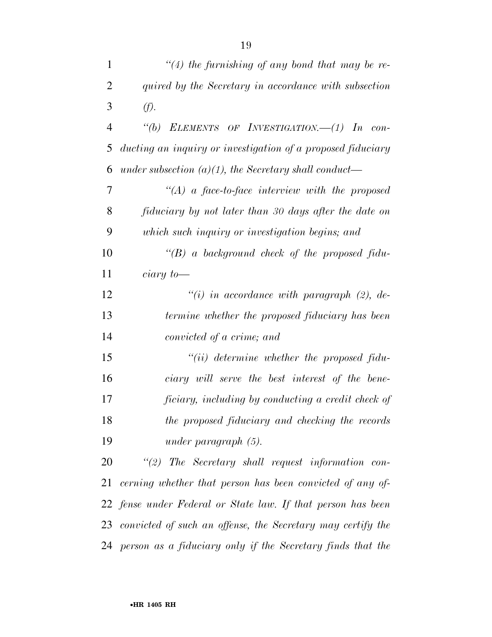| 1              | $\lq(4)$ the furnishing of any bond that may be re-            |
|----------------|----------------------------------------------------------------|
| $\overline{2}$ | quired by the Secretary in accordance with subsection          |
| 3              | (f).                                                           |
| $\overline{4}$ | "(b) ELEMENTS OF INVESTIGATION. $-(1)$ In con-                 |
| 5              | ducting an inquiry or investigation of a proposed fiduciary    |
| 6              | under subsection $(a)(1)$ , the Secretary shall conduct—       |
| 7              | "(A) a face-to-face interview with the proposed                |
| 8              | fiduciary by not later than 30 days after the date on          |
| 9              | which such inquiry or investigation begins; and                |
| 10             | "(B) a background check of the proposed fidu-                  |
| 11             | $ciary\ to$ —                                                  |
| 12             | "(i) in accordance with paragraph $(2)$ , de-                  |
| 13             | termine whether the proposed fiduciary has been                |
| 14             | convicted of a crime; and                                      |
| 15             | $``(ii)$ determine whether the proposed fidu-                  |
| 16             | ciary will serve the best interest of the bene-                |
| 17             | ficiary, including by conducting a credit check of             |
| 18             | the proposed fiduciary and checking the records                |
| 19             | under paragraph $(5)$ .                                        |
| 20             | $\lq(2)$ The Secretary shall request information con-          |
| 21             | cerning whether that person has been convicted of any of-      |
|                | 22 fense under Federal or State law. If that person has been   |
|                | 23 convicted of such an offense, the Secretary may certify the |
|                | 24 person as a fiduciary only if the Secretary finds that the  |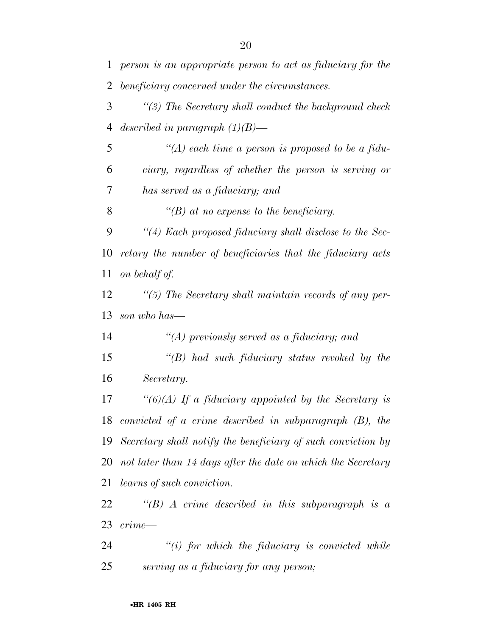| 1  | person is an appropriate person to act as fiduciary for the  |
|----|--------------------------------------------------------------|
| 2  | beneficiary concerned under the circumstances.               |
| 3  | $\lq(3)$ The Secretary shall conduct the background check    |
| 4  | described in paragraph $(1)(B)$ —                            |
| 5  | "(A) each time a person is proposed to be a fidu-            |
| 6  | ciary, regardless of whether the person is serving or        |
| 7  | has served as a fiduciary; and                               |
| 8  | $\lq\lq(B)$ at no expense to the beneficiary.                |
| 9  | "(4) Each proposed fiduciary shall disclose to the Sec-      |
| 10 | retary the number of beneficiaries that the fiduciary acts   |
| 11 | on behalf of.                                                |
| 12 | $\lq(5)$ The Secretary shall maintain records of any per-    |
| 13 | son who has—                                                 |
| 14 | "(A) previously served as a fiduciary; and                   |
| 15 | $\lq$ (B) had such fiduciary status revoked by the           |
| 16 | Secretary.                                                   |
| 17 | " $(6)(A)$ If a fiduciary appointed by the Secretary is      |
| 18 | convicted of a crime described in subparagraph $(B)$ , the   |
| 19 | Secretary shall notify the beneficiary of such conviction by |
| 20 | not later than 14 days after the date on which the Secretary |
| 21 | <i>learns of such conviction.</i>                            |
| 22 | "(B) A crime described in this subparagraph is a             |
| 23 | crime—                                                       |
| 24 | $\tilde{f}(i)$ for which the fiduciary is convicted while    |
| 25 | serving as a fiduciary for any person;                       |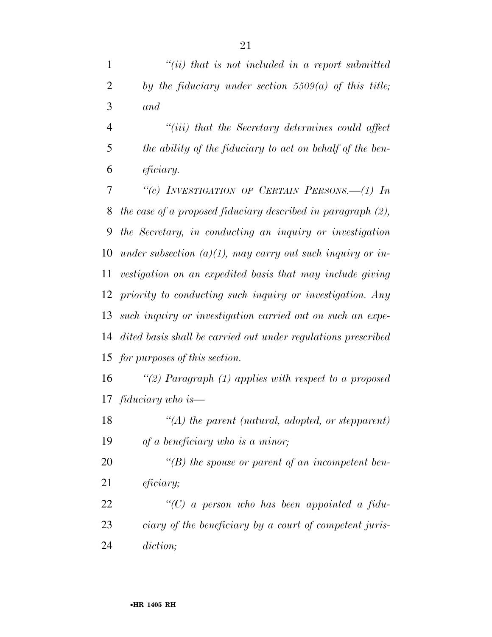|   | $``(ii)$ that is not included in a report submitted   |
|---|-------------------------------------------------------|
| 2 | by the fiduciary under section 5509(a) of this title; |
| 3 | and                                                   |

 *''(iii) that the Secretary determines could affect the ability of the fiduciary to act on behalf of the ben-eficiary.* 

 *''(c) INVESTIGATION OF CERTAIN PERSONS.—(1) In the case of a proposed fiduciary described in paragraph (2), the Secretary, in conducting an inquiry or investigation under subsection (a)(1), may carry out such inquiry or in- vestigation on an expedited basis that may include giving priority to conducting such inquiry or investigation. Any such inquiry or investigation carried out on such an expe- dited basis shall be carried out under regulations prescribed for purposes of this section.* 

 *''(2) Paragraph (1) applies with respect to a proposed fiduciary who is—* 

 *''(A) the parent (natural, adopted, or stepparent) of a beneficiary who is a minor;* 

 *''(B) the spouse or parent of an incompetent ben-eficiary;* 

 *''(C) a person who has been appointed a fidu- ciary of the beneficiary by a court of competent juris-diction;*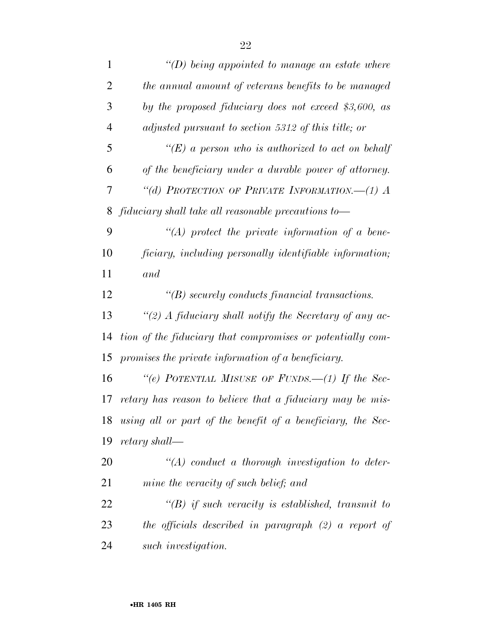| $\mathbf{1}$   | "(D) being appointed to manage an estate where              |
|----------------|-------------------------------------------------------------|
| $\overline{2}$ | the annual amount of veterans benefits to be managed        |
| 3              | by the proposed fiduciary does not exceed \$3,600, as       |
| $\overline{4}$ | adjusted pursuant to section 5312 of this title; or         |
| 5              | "(E) a person who is authorized to act on behalf            |
| 6              | of the beneficiary under a durable power of attorney.       |
| 7              | "(d) PROTECTION OF PRIVATE INFORMATION. $-(1)$ A            |
| 8              | fiduciary shall take all reasonable precautions to-         |
| 9              | $\lq (A)$ protect the private information of a bene-        |
| 10             | ficiary, including personally identifiable information;     |
| 11             | and                                                         |
| 12             | $\lq\lq(B)$ securely conducts financial transactions.       |
| 13             | "(2) A fiduciary shall notify the Secretary of any ac-      |
| 14             | tion of the fiduciary that compromises or potentially com-  |
| 15             | promises the private information of a beneficiary.          |
| 16             | "(e) POTENTIAL MISUSE OF FUNDS.—(1) If the Sec-             |
| 17             | retary has reason to believe that a fiduciary may be mis-   |
| 18             | using all or part of the benefit of a beneficiary, the Sec- |
| 19             | retary shall—                                               |
| 20             | $\lq (A)$ conduct a thorough investigation to deter-        |
| 21             | mine the veracity of such belief; and                       |
| 22             | $\lq\lq(B)$ if such veracity is established, transmit to    |
| 23             | the officials described in paragraph $(2)$ a report of      |
| 24             | such investigation.                                         |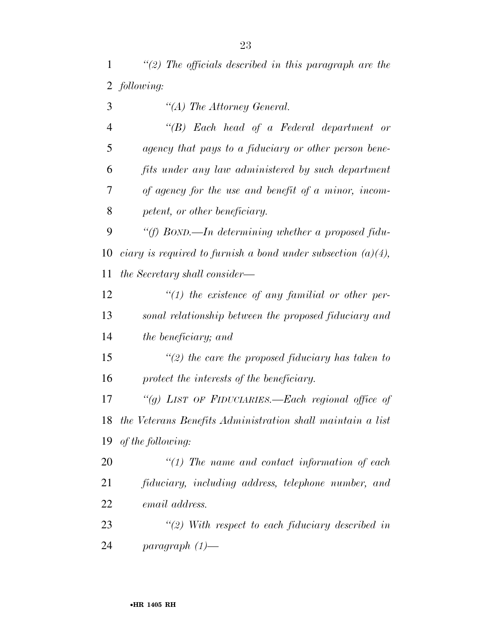*''(2) The officials described in this paragraph are the following:* 

 *''(A) The Attorney General. ''(B) Each head of a Federal department or agency that pays to a fiduciary or other person bene- fits under any law administered by such department of agency for the use and benefit of a minor, incom- petent, or other beneficiary. ''(f) BOND.—In determining whether a proposed fidu- ciary is required to furnish a bond under subsection (a)(4), the Secretary shall consider— ''(1) the existence of any familial or other per- sonal relationship between the proposed fiduciary and the beneficiary; and ''(2) the care the proposed fiduciary has taken to protect the interests of the beneficiary. ''(g) LIST OF FIDUCIARIES.—Each regional office of the Veterans Benefits Administration shall maintain a list of the following: ''(1) The name and contact information of each fiduciary, including address, telephone number, and email address.* 

 *''(2) With respect to each fiduciary described in paragraph (1)—*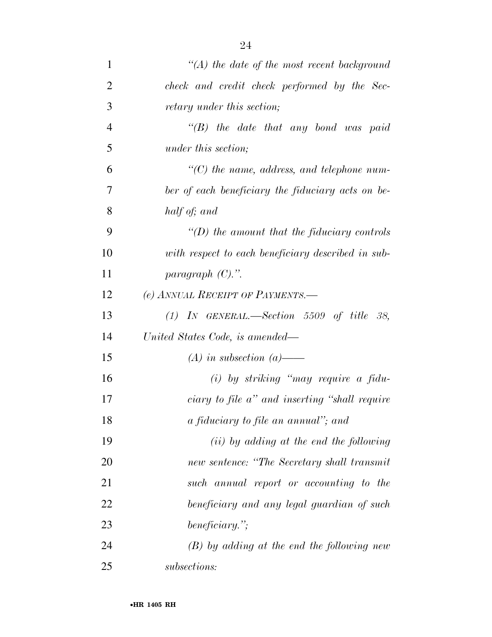| $\mathbf{1}$   | $\lq (A)$ the date of the most recent background   |
|----------------|----------------------------------------------------|
| $\overline{2}$ | check and credit check performed by the Sec-       |
| 3              | <i>retary under this section;</i>                  |
| $\overline{4}$ | $\lq\lq B$ the date that any bond was paid         |
| 5              | <i>under this section;</i>                         |
| 6              | $\lq\lq C$ the name, address, and telephone num-   |
| 7              | ber of each beneficiary the fiduciary acts on be-  |
| 8              | half of; and                                       |
| 9              | $\lq (D)$ the amount that the fiduciary controls   |
| 10             | with respect to each beneficiary described in sub- |
| 11             | paragraph $(C)$ .".                                |
| 12             | (e) ANNUAL RECEIPT OF PAYMENTS.—                   |
| 13             | $(1)$ IN GENERAL.—Section 5509 of title 38,        |
| 14             | United States Code, is amended—                    |
| 15             | $(A)$ in subsection $(a)$ —                        |
| 16             | $(i)$ by striking "may require a fidu-             |
| 17             | ciary to file a" and inserting "shall require      |
| 18             | a fiduciary to file an annual"; and                |
| 19             | $(ii)$ by adding at the end the following          |
| 20             | new sentence: "The Secretary shall transmit        |
| 21             | such annual report or accounting to the            |
| 22             | beneficiary and any legal guardian of such         |
| 23             | beneficiary.";                                     |
| 24             | $(B)$ by adding at the end the following new       |
| 25             | subsections:                                       |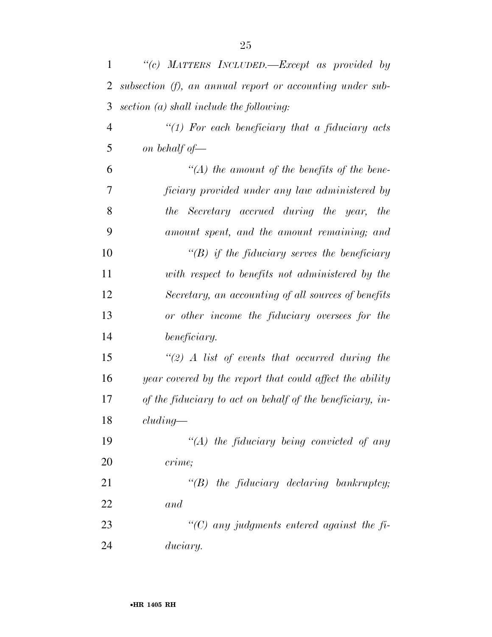| 1              | "(c) MATTERS INCLUDED.—Except as provided by              |
|----------------|-----------------------------------------------------------|
| 2              | subsection (f), an annual report or accounting under sub- |
| 3              | $section (a) shall include the following:$                |
| $\overline{4}$ | "(1) For each beneficiary that a fiduciary acts           |
| 5              | on behalf of $-$                                          |
| 6              | $\lq (A)$ the amount of the benefits of the bene-         |
| 7              | ficiary provided under any law administered by            |
| 8              | the Secretary accrued during the year, the                |
| 9              | amount spent, and the amount remaining; and               |
| 10             | $\lq\lq(B)$ if the fiduciary serves the beneficiary       |
| 11             | with respect to benefits not administered by the          |
| 12             | Secretary, an accounting of all sources of benefits       |
| 13             | or other income the fiduciary oversees for the            |
| 14             | beneficiary.                                              |
| 15             | $\lq(2)$ A list of events that occurred during the        |
| 16             | year covered by the report that could affect the ability  |
| 17             | of the fiduciary to act on behalf of the beneficiary, in- |
| 18             | cluding                                                   |
| 19             | $\lq (A)$ the fiduciary being convicted of any            |
| 20             | crime;                                                    |
| 21             | $\lq\lq B$ the fiduciary declaring bankruptcy;            |
| 22             | and                                                       |
| 23             | "(C) any judgments entered against the $fi$ -             |
| 24             | duciary.                                                  |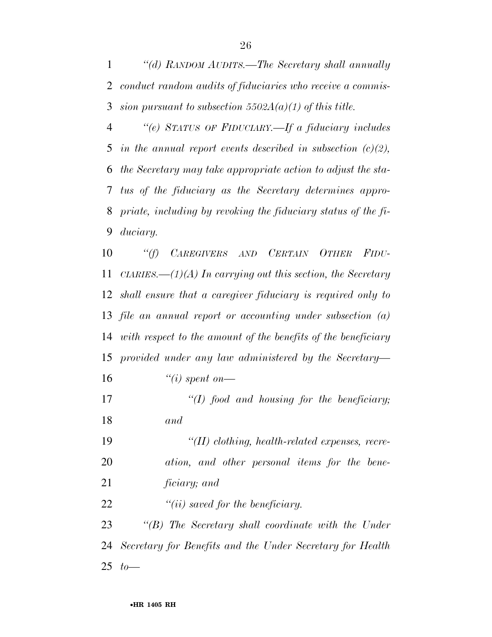*''(d) RANDOM AUDITS.—The Secretary shall annually conduct random audits of fiduciaries who receive a commis-sion pursuant to subsection 5502A(a)(1) of this title.* 

 *''(e) STATUS OF FIDUCIARY.—If a fiduciary includes in the annual report events described in subsection (c)(2), the Secretary may take appropriate action to adjust the sta- tus of the fiduciary as the Secretary determines appro- priate, including by revoking the fiduciary status of the fi-duciary.* 

 *''(f) CAREGIVERS AND CERTAIN OTHER FIDU- CIARIES.—(1)(A) In carrying out this section, the Secretary shall ensure that a caregiver fiduciary is required only to file an annual report or accounting under subsection (a) with respect to the amount of the benefits of the beneficiary provided under any law administered by the Secretary— ''(i) spent on—* 

 *''(I) food and housing for the beneficiary; and* 

 *''(II) clothing, health-related expenses, recre- ation, and other personal items for the bene-ficiary; and* 

*''(ii) saved for the beneficiary.* 

 *''(B) The Secretary shall coordinate with the Under Secretary for Benefits and the Under Secretary for Health to—*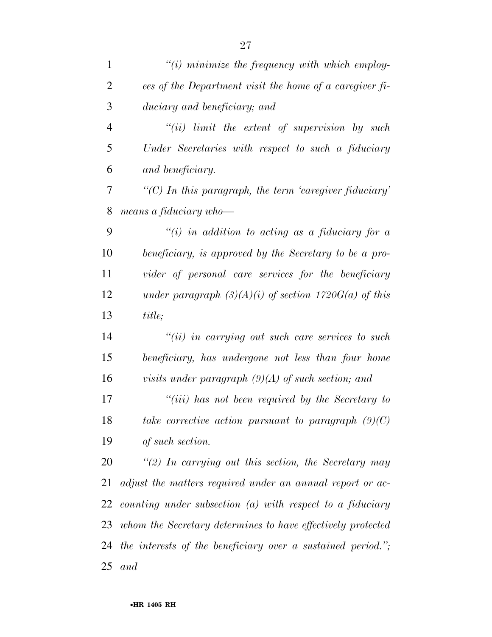| $\mathbf{1}$   | $\tilde{f}(i)$ minimize the frequency with which employ-    |
|----------------|-------------------------------------------------------------|
| $\overline{2}$ | ees of the Department visit the home of a caregiver fi-     |
| 3              | duciary and beneficiary; and                                |
| $\overline{4}$ | $``(ii)$ limit the extent of supervision by such            |
| 5              | Under Secretaries with respect to such a fiduciary          |
| 6              | and beneficiary.                                            |
| 7              | $\lq$ (C) In this paragraph, the term 'caregiver fiduciary' |
| 8              | means a fiduciary who-                                      |
| 9              | $\lq (i)$ in addition to acting as a fiduciary for a        |
| 10             | beneficiary, is approved by the Secretary to be a pro-      |
| 11             | vider of personal care services for the beneficiary         |
| 12             | under paragraph $(3)(A)(i)$ of section 1720 $G(a)$ of this  |
| 13             | title;                                                      |
| 14             | $``(ii)$ in carrying out such care services to such         |
| 15             | beneficiary, has undergone not less than four home          |
| 16             | visits under paragraph $(9)(A)$ of such section; and        |
| 17             | $``(iii)$ has not been required by the Secretary to         |
| 18             | take corrective action pursuant to paragraph $(9)(C)$       |
| 19             | of such section.                                            |
| 20             | $\lq(2)$ In carrying out this section, the Secretary may    |
| 21             | adjust the matters required under an annual report or ac-   |
| 22             | counting under subsection (a) with respect to a fiduciary   |
| 23             | whom the Secretary determines to have effectively protected |
| 24             | the interests of the beneficiary over a sustained period."; |
| 25             | and                                                         |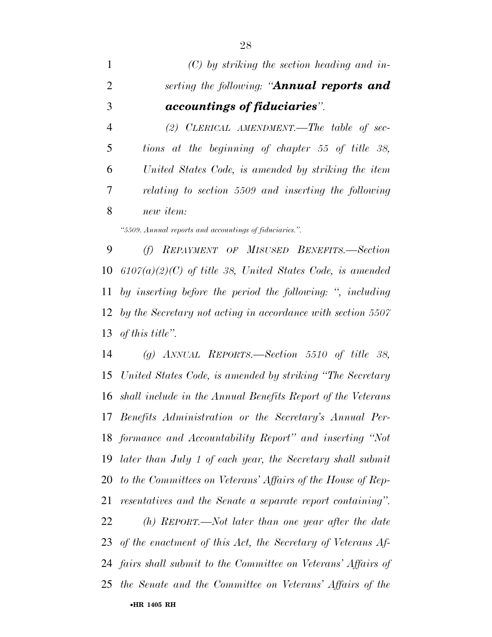*(C) by striking the section heading and in- serting the following: ''Annual reports and accountings of fiduciaries''. (2) CLERICAL AMENDMENT.—The table of sec- tions at the beginning of chapter 55 of title 38, United States Code, is amended by striking the item* 

*relating to section 5509 and inserting the following* 

*new item:* 

*''5509. Annual reports and accountings of fiduciaries.''.* 

 *(f) REPAYMENT OF MISUSED BENEFITS.—Section 6107(a)(2)(C) of title 38, United States Code, is amended by inserting before the period the following: '', including by the Secretary not acting in accordance with section 5507 of this title''.* 

 *(g) ANNUAL REPORTS.—Section 5510 of title 38, United States Code, is amended by striking ''The Secretary shall include in the Annual Benefits Report of the Veterans Benefits Administration or the Secretary's Annual Per- formance and Accountability Report'' and inserting ''Not later than July 1 of each year, the Secretary shall submit to the Committees on Veterans' Affairs of the House of Rep- resentatives and the Senate a separate report containing''. (h) REPORT.—Not later than one year after the date of the enactment of this Act, the Secretary of Veterans Af-fairs shall submit to the Committee on Veterans' Affairs of* 

•**HR 1405 RH** *the Senate and the Committee on Veterans' Affairs of the*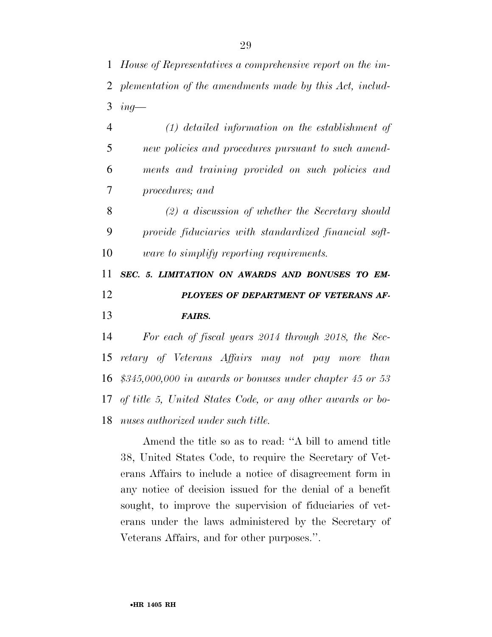*House of Representatives a comprehensive report on the im- plementation of the amendments made by this Act, includ-ing—* 

 *(1) detailed information on the establishment of new policies and procedures pursuant to such amend- ments and training provided on such policies and procedures; and* 

 *(2) a discussion of whether the Secretary should provide fiduciaries with standardized financial soft-ware to simplify reporting requirements.* 

## *SEC. 5. LIMITATION ON AWARDS AND BONUSES TO EM- PLOYEES OF DEPARTMENT OF VETERANS AF-FAIRS.*

 *For each of fiscal years 2014 through 2018, the Sec- retary of Veterans Affairs may not pay more than \$345,000,000 in awards or bonuses under chapter 45 or 53 of title 5, United States Code, or any other awards or bo-nuses authorized under such title.* 

Amend the title so as to read: ''A bill to amend title 38, United States Code, to require the Secretary of Veterans Affairs to include a notice of disagreement form in any notice of decision issued for the denial of a benefit sought, to improve the supervision of fiduciaries of veterans under the laws administered by the Secretary of Veterans Affairs, and for other purposes.''.